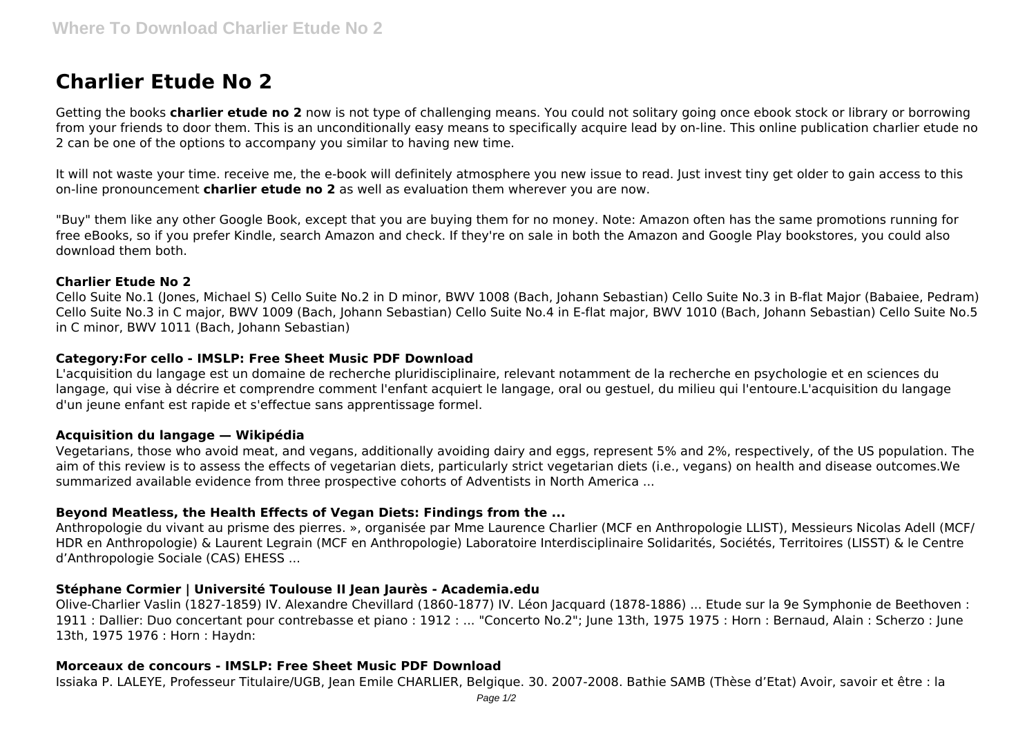# **Charlier Etude No 2**

Getting the books **charlier etude no 2** now is not type of challenging means. You could not solitary going once ebook stock or library or borrowing from your friends to door them. This is an unconditionally easy means to specifically acquire lead by on-line. This online publication charlier etude no 2 can be one of the options to accompany you similar to having new time.

It will not waste your time. receive me, the e-book will definitely atmosphere you new issue to read. Just invest tiny get older to gain access to this on-line pronouncement **charlier etude no 2** as well as evaluation them wherever you are now.

"Buy" them like any other Google Book, except that you are buying them for no money. Note: Amazon often has the same promotions running for free eBooks, so if you prefer Kindle, search Amazon and check. If they're on sale in both the Amazon and Google Play bookstores, you could also download them both.

## **Charlier Etude No 2**

Cello Suite No.1 (Jones, Michael S) Cello Suite No.2 in D minor, BWV 1008 (Bach, Johann Sebastian) Cello Suite No.3 in B-flat Major (Babaiee, Pedram) Cello Suite No.3 in C major, BWV 1009 (Bach, Johann Sebastian) Cello Suite No.4 in E-flat major, BWV 1010 (Bach, Johann Sebastian) Cello Suite No.5 in C minor, BWV 1011 (Bach, Johann Sebastian)

## **Category:For cello - IMSLP: Free Sheet Music PDF Download**

L'acquisition du langage est un domaine de recherche pluridisciplinaire, relevant notamment de la recherche en psychologie et en sciences du langage, qui vise à décrire et comprendre comment l'enfant acquiert le langage, oral ou gestuel, du milieu qui l'entoure.L'acquisition du langage d'un jeune enfant est rapide et s'effectue sans apprentissage formel.

### **Acquisition du langage — Wikipédia**

Vegetarians, those who avoid meat, and vegans, additionally avoiding dairy and eggs, represent 5% and 2%, respectively, of the US population. The aim of this review is to assess the effects of vegetarian diets, particularly strict vegetarian diets (i.e., vegans) on health and disease outcomes.We summarized available evidence from three prospective cohorts of Adventists in North America ...

# **Beyond Meatless, the Health Effects of Vegan Diets: Findings from the ...**

Anthropologie du vivant au prisme des pierres. », organisée par Mme Laurence Charlier (MCF en Anthropologie LLIST), Messieurs Nicolas Adell (MCF/ HDR en Anthropologie) & Laurent Legrain (MCF en Anthropologie) Laboratoire Interdisciplinaire Solidarités, Sociétés, Territoires (LISST) & le Centre d'Anthropologie Sociale (CAS) EHESS ...

# **Stéphane Cormier | Université Toulouse II Jean Jaurès - Academia.edu**

Olive-Charlier Vaslin (1827-1859) IV. Alexandre Chevillard (1860-1877) IV. Léon Jacquard (1878-1886) ... Etude sur la 9e Symphonie de Beethoven : 1911 : Dallier: Duo concertant pour contrebasse et piano : 1912 : ... "Concerto No.2"; June 13th, 1975 1975 : Horn : Bernaud, Alain : Scherzo : June 13th, 1975 1976 : Horn : Haydn:

# **Morceaux de concours - IMSLP: Free Sheet Music PDF Download**

Issiaka P. LALEYE, Professeur Titulaire/UGB, Jean Emile CHARLIER, Belgique. 30. 2007-2008. Bathie SAMB (Thèse d'Etat) Avoir, savoir et être : la